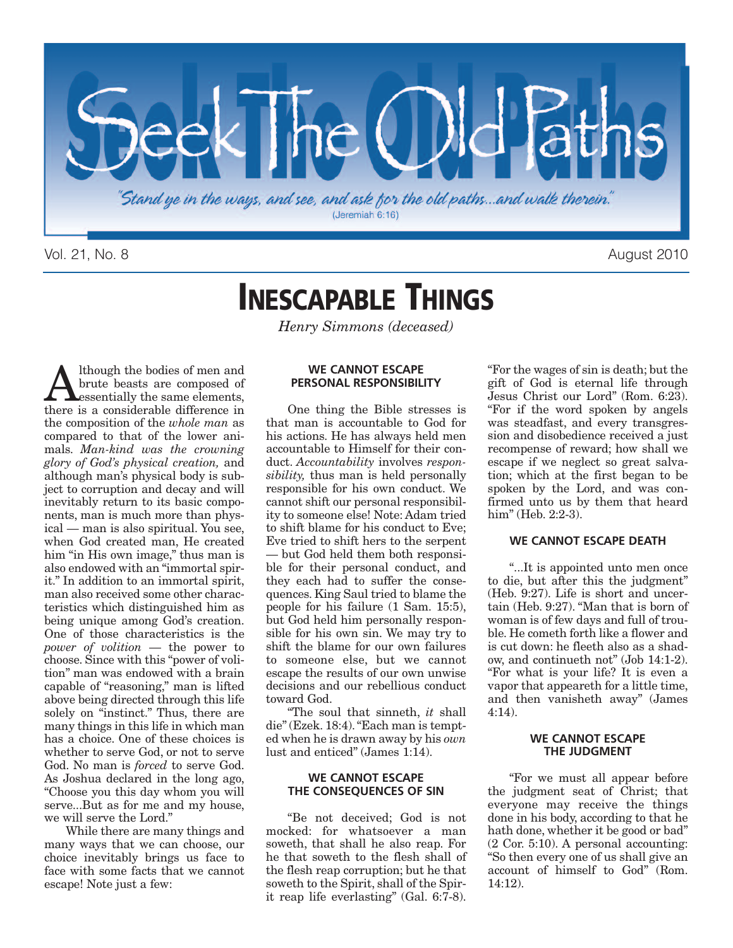

Vol. 21, No. 8 August 2010

### **INESCAPABLE THINGS**

*Henry Simmons (deceased)*

A lthough the bodies of men and<br>brute beasts are composed of<br>there is a considerable difference in brute beasts are composed of essentially the same elements, there is a considerable difference in the composition of the *whole man* as compared to that of the lower animals. *Man-kind was the crowning glory of God's physical creation,* and although man's physical body is subject to corruption and decay and will inevitably return to its basic components, man is much more than physical — man is also spiritual. You see, when God created man, He created him "in His own image," thus man is also endowed with an "immortal spirit." In addition to an immortal spirit, man also received some other characteristics which distinguished him as being unique among God's creation. One of those characteristics is the *power of volition* — the power to choose. Since with this "power of volition" man was endowed with a brain capable of "reasoning," man is lifted above being directed through this life solely on "instinct." Thus, there are many things in this life in which man has a choice. One of these choices is whether to serve God, or not to serve God. No man is *forced* to serve God. As Joshua declared in the long ago, "Choose you this day whom you will serve...But as for me and my house, we will serve the Lord."

While there are many things and many ways that we can choose, our choice inevitably brings us face to face with some facts that we cannot escape! Note just a few:

#### **WE CANNOT ESCAPE PERSONAL RESPONSIBILITY**

One thing the Bible stresses is that man is accountable to God for his actions. He has always held men accountable to Himself for their conduct. *Accountability* involves *responsibility,* thus man is held personally responsible for his own conduct. We cannot shift our personal responsibility to someone else! Note: Adam tried to shift blame for his conduct to Eve; Eve tried to shift hers to the serpent — but God held them both responsible for their personal conduct, and they each had to suffer the consequences. King Saul tried to blame the people for his failure (1 Sam. 15:5), but God held him personally responsible for his own sin. We may try to shift the blame for our own failures to someone else, but we cannot escape the results of our own unwise decisions and our rebellious conduct toward God.

"The soul that sinneth, *it* shall die"(Ezek. 18:4)."Each man is tempted when he is drawn away by his *own* lust and enticed" (James 1:14).

#### **WE CANNOT ESCAPE THE CONSEQUENCES OF SIN**

"Be not deceived; God is not mocked: for whatsoever a man soweth, that shall he also reap. For he that soweth to the flesh shall of the flesh reap corruption; but he that soweth to the Spirit, shall of the Spirit reap life everlasting" (Gal. 6:7-8).

"For the wages of sin is death; but the gift of God is eternal life through Jesus Christ our Lord" (Rom. 6:23). "For if the word spoken by angels was steadfast, and every transgression and disobedience received a just recompense of reward; how shall we escape if we neglect so great salvation; which at the first began to be spoken by the Lord, and was confirmed unto us by them that heard him" (Heb. 2:2-3).

#### **WE CANNOT ESCAPE DEATH**

"...It is appointed unto men once to die, but after this the judgment" (Heb. 9:27). Life is short and uncertain (Heb. 9:27). "Man that is born of woman is of few days and full of trouble. He cometh forth like a flower and is cut down: he fleeth also as a shadow, and continueth not" (Job 14:1-2). "For what is your life? It is even a vapor that appeareth for a little time, and then vanisheth away" (James 4:14).

#### **WE CANNOT ESCAPE THE JUDGMENT**

"For we must all appear before the judgment seat of Christ; that everyone may receive the things done in his body, according to that he hath done, whether it be good or bad" (2 Cor. 5:10). A personal accounting: "So then every one of us shall give an account of himself to God" (Rom. 14:12).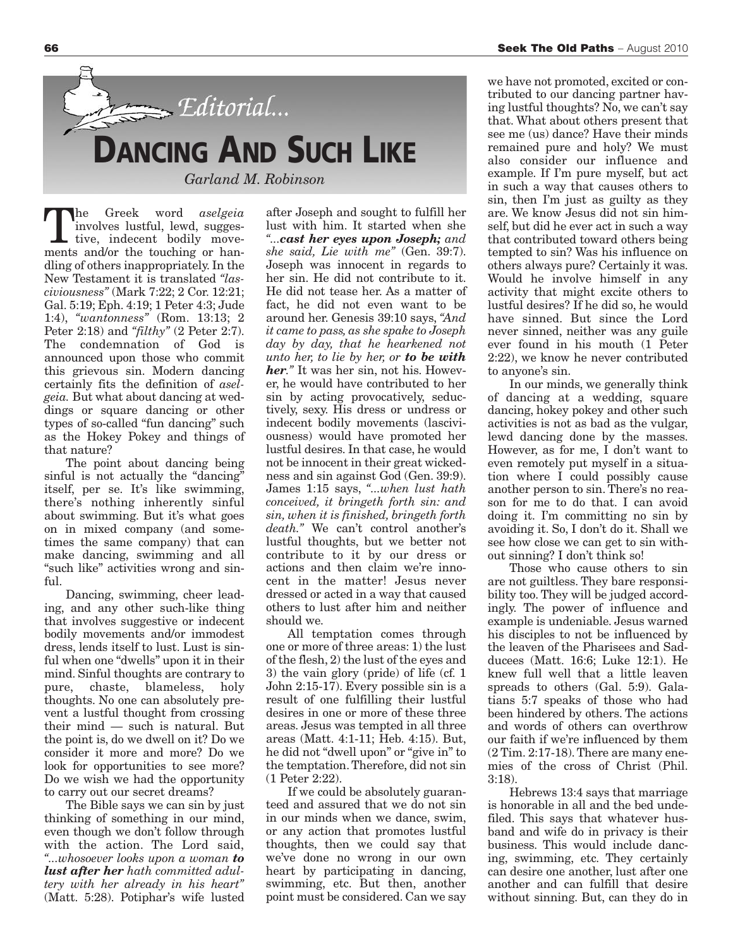

The Greek word *aselgeia*<br>
involves lustful, lewd, sugges-<br>
tive, indecent bodily move-<br>
ments and/or the touching or haninvolves lustful, lewd, suggesments and/or the touching or handling of others inappropriately. In the New Testament it is translated *"lasciviousness"* (Mark 7:22; 2 Cor. 12:21; Gal. 5:19; Eph. 4:19; 1 Peter 4:3; Jude 1:4), *"wantonness"* (Rom. 13:13; 2 Peter 2:18) and *"filthy"* (2 Peter 2:7). The condemnation of God is announced upon those who commit this grievous sin. Modern dancing certainly fits the definition of *aselgeia.* But what about dancing at weddings or square dancing or other types of so-called "fun dancing" such as the Hokey Pokey and things of that nature?

The point about dancing being sinful is not actually the "dancing" itself, per se. It's like swimming, there's nothing inherently sinful about swimming. But it's what goes on in mixed company (and sometimes the same company) that can make dancing, swimming and all "such like" activities wrong and sinful.

Dancing, swimming, cheer leading, and any other such-like thing that involves suggestive or indecent bodily movements and/or immodest dress, lends itself to lust. Lust is sinful when one "dwells" upon it in their mind. Sinful thoughts are contrary to pure, chaste, blameless, holy thoughts. No one can absolutely prevent a lustful thought from crossing their mind — such is natural. But the point is, do we dwell on it? Do we consider it more and more? Do we look for opportunities to see more? Do we wish we had the opportunity to carry out our secret dreams?

The Bible says we can sin by just thinking of something in our mind, even though we don't follow through with the action. The Lord said, *"...whosoever looks upon a woman to lust after her hath committed adultery with her already in his heart"* (Matt. 5:28). Potiphar's wife lusted after Joseph and sought to fulfill her lust with him. It started when she *"...cast her eyes upon Joseph; and she said, Lie with me"* (Gen. 39:7). Joseph was innocent in regards to her sin. He did not contribute to it. He did not tease her. As a matter of fact, he did not even want to be around her. Genesis 39:10 says, *"And it came to pass, as she spake to Joseph day by day, that he hearkened not unto her, to lie by her, or to be with her."* It was her sin, not his. However, he would have contributed to her sin by acting provocatively, seductively, sexy. His dress or undress or indecent bodily movements (lasciviousness) would have promoted her lustful desires. In that case, he would not be innocent in their great wickedness and sin against God (Gen. 39:9). James 1:15 says, *"...when lust hath conceived, it bringeth forth sin: and sin, when it is finished, bringeth forth death."* We can't control another's lustful thoughts, but we better not contribute to it by our dress or actions and then claim we're innocent in the matter! Jesus never dressed or acted in a way that caused others to lust after him and neither should we.

All temptation comes through one or more of three areas: 1) the lust of the flesh, 2) the lust of the eyes and 3) the vain glory (pride) of life (cf. 1 John 2:15-17). Every possible sin is a result of one fulfilling their lustful desires in one or more of these three areas. Jesus was tempted in all three areas (Matt. 4:1-11; Heb. 4:15). But, he did not "dwell upon" or "give in" to the temptation.Therefore, did not sin (1 Peter 2:22).

If we could be absolutely guaranteed and assured that we do not sin in our minds when we dance, swim, or any action that promotes lustful thoughts, then we could say that we've done no wrong in our own heart by participating in dancing, swimming, etc. But then, another point must be considered. Can we say

we have not promoted, excited or contributed to our dancing partner having lustful thoughts? No, we can't say that. What about others present that see me (us) dance? Have their minds remained pure and holy? We must also consider our influence and example. If I'm pure myself, but act in such a way that causes others to sin, then I'm just as guilty as they are. We know Jesus did not sin himself, but did he ever act in such a way that contributed toward others being tempted to sin? Was his influence on others always pure? Certainly it was. Would he involve himself in any activity that might excite others to lustful desires? If he did so, he would have sinned. But since the Lord never sinned, neither was any guile ever found in his mouth (1 Peter 2:22), we know he never contributed to anyone's sin.

In our minds, we generally think of dancing at a wedding, square dancing, hokey pokey and other such activities is not as bad as the vulgar, lewd dancing done by the masses. However, as for me, I don't want to even remotely put myself in a situation where I could possibly cause another person to sin. There's no reason for me to do that. I can avoid doing it. I'm committing no sin by avoiding it. So, I don't do it. Shall we see how close we can get to sin without sinning? I don't think so!

Those who cause others to sin are not guiltless. They bare responsibility too. They will be judged accordingly. The power of influence and example is undeniable. Jesus warned his disciples to not be influenced by the leaven of the Pharisees and Sadducees (Matt. 16:6; Luke 12:1). He knew full well that a little leaven spreads to others (Gal. 5:9). Galatians 5:7 speaks of those who had been hindered by others. The actions and words of others can overthrow our faith if we're influenced by them  $(2$  Tim.  $2:17-18$ ). There are many enemies of the cross of Christ (Phil. 3:18).

Hebrews 13:4 says that marriage is honorable in all and the bed undefiled. This says that whatever husband and wife do in privacy is their business. This would include dancing, swimming, etc. They certainly can desire one another, lust after one another and can fulfill that desire without sinning. But, can they do in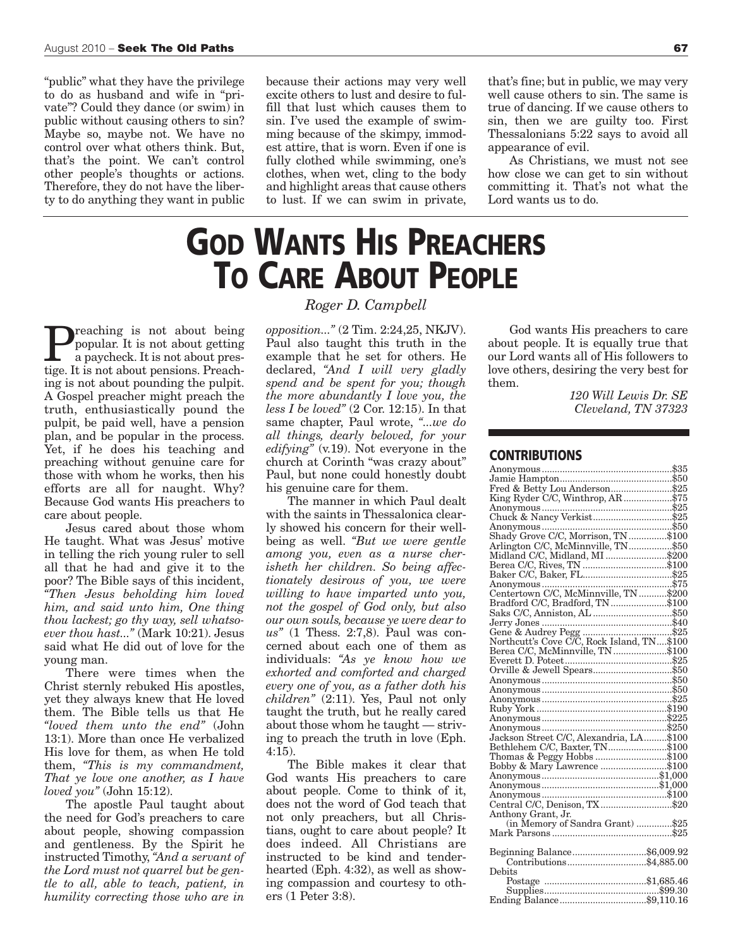"public" what they have the privilege to do as husband and wife in "private"? Could they dance (or swim) in public without causing others to sin? Maybe so, maybe not. We have no control over what others think. But, that's the point. We can't control other people's thoughts or actions. Therefore, they do not have the liberty to do anything they want in public because their actions may very well excite others to lust and desire to fulfill that lust which causes them to sin. I've used the example of swimming because of the skimpy, immodest attire, that is worn. Even if one is fully clothed while swimming, one's clothes, when wet, cling to the body and highlight areas that cause others to lust. If we can swim in private,

that's fine; but in public, we may very well cause others to sin. The same is true of dancing. If we cause others to sin, then we are guilty too. First Thessalonians 5:22 says to avoid all appearance of evil.

As Christians, we must not see how close we can get to sin without committing it. That's not what the Lord wants us to do.

# **GOD WANTS HIS PREACHERS TO CARE ABOUT PEOPLE**

**Preaching is not about being**<br>popular. It is not about getting<br>in a paycheck. It is not about prespopular. It is not about getting a paycheck. It is not about prestige. It is not about pensions. Preaching is not about pounding the pulpit. A Gospel preacher might preach the truth, enthusiastically pound the pulpit, be paid well, have a pension plan, and be popular in the process. Yet, if he does his teaching and preaching without genuine care for those with whom he works, then his efforts are all for naught. Why? Because God wants His preachers to care about people.

Jesus cared about those whom He taught. What was Jesus' motive in telling the rich young ruler to sell all that he had and give it to the poor? The Bible says of this incident, *"Then Jesus beholding him loved him, and said unto him, One thing thou lackest; go thy way, sell whatsoever thou hast..."* (Mark 10:21). Jesus said what He did out of love for the young man.

There were times when the Christ sternly rebuked His apostles, yet they always knew that He loved them. The Bible tells us that He *"loved them unto the end"* (John 13:1). More than once He verbalized His love for them, as when He told them, *"This is my commandment, That ye love one another, as I have loved you"* (John 15:12).

The apostle Paul taught about the need for God's preachers to care about people, showing compassion and gentleness. By the Spirit he instructed Timothy, *"And a servant of the Lord must not quarrel but be gentle to all, able to teach, patient, in humility correcting those who are in*

*Roger D. Campbell*

*opposition..."* (2 Tim. 2:24,25, NKJV). Paul also taught this truth in the example that he set for others. He declared, *"And I will very gladly spend and be spent for you; though the more abundantly I love you, the less I be loved"* (2 Cor. 12:15). In that same chapter, Paul wrote, *"...we do all things, dearly beloved, for your edifying"* (v.19). Not everyone in the church at Corinth "was crazy about" Paul, but none could honestly doubt his genuine care for them.

The manner in which Paul dealt with the saints in Thessalonica clearly showed his concern for their wellbeing as well. *"But we were gentle among you, even as a nurse cherisheth her children. So being affectionately desirous of you, we were willing to have imparted unto you, not the gospel of God only, but also our own souls, because ye were dear to us"* (1 Thess. 2:7,8). Paul was concerned about each one of them as individuals: *"As ye know how we exhorted and comforted and charged every one of you, as a father doth his children"* (2:11). Yes, Paul not only taught the truth, but he really cared about those whom he taught — striving to preach the truth in love (Eph. 4:15).

The Bible makes it clear that God wants His preachers to care about people. Come to think of it, does not the word of God teach that not only preachers, but all Christians, ought to care about people? It does indeed. All Christians are instructed to be kind and tenderhearted (Eph. 4:32), as well as showing compassion and courtesy to others (1 Peter 3:8).

God wants His preachers to care about people. It is equally true that our Lord wants all of His followers to love others, desiring the very best for them.

> *120 Will Lewis Dr. SE Cleveland, TN 37323*

#### **CONTRIBUTIONS**

| Fred & Betty Lou Anderson\$25                                                         |  |
|---------------------------------------------------------------------------------------|--|
| King Ryder C/C, Winthrop, AR \$75                                                     |  |
|                                                                                       |  |
|                                                                                       |  |
|                                                                                       |  |
| Anonymous<br>Shady Grove C/C, Morrison, TN\$100<br>Arlington C/C, McMinnyille, TN\$50 |  |
|                                                                                       |  |
| Midland C/C, Midland, MI\$200                                                         |  |
| Berea C/C, Rives, TN \$100                                                            |  |
|                                                                                       |  |
|                                                                                       |  |
|                                                                                       |  |
| Bradford C/C, Bradford, TN \$100                                                      |  |
|                                                                                       |  |
|                                                                                       |  |
|                                                                                       |  |
|                                                                                       |  |
|                                                                                       |  |
|                                                                                       |  |
|                                                                                       |  |
| Orville & Jewell Spears\$50                                                           |  |
|                                                                                       |  |
|                                                                                       |  |
|                                                                                       |  |
|                                                                                       |  |
|                                                                                       |  |
|                                                                                       |  |
|                                                                                       |  |
|                                                                                       |  |
|                                                                                       |  |
| Bobby & Mary Lawrence \$100                                                           |  |
|                                                                                       |  |
|                                                                                       |  |
|                                                                                       |  |
| Central C/C, Denison, TX\$20                                                          |  |
| Anthony Grant, Jr.                                                                    |  |
| (in Memory of Sandra Grant) \$25                                                      |  |
|                                                                                       |  |
|                                                                                       |  |
|                                                                                       |  |
|                                                                                       |  |
| Debits                                                                                |  |
|                                                                                       |  |
|                                                                                       |  |
|                                                                                       |  |
|                                                                                       |  |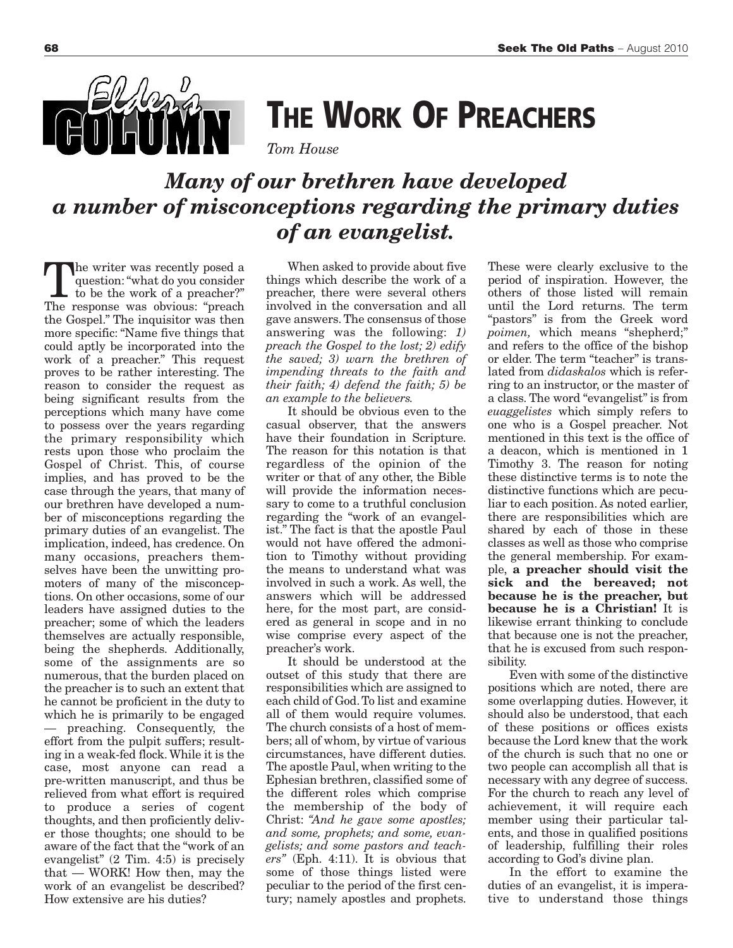

## **THE WORK OF PREACHERS**

*Tom House*

### *Many of our brethren have developed a number of misconceptions regarding the primary duties of an evangelist.*

The writer was recently posed <sup>a</sup> question:"what do you consider to be the work of a preacher?" The response was obvious: "preach the Gospel." The inquisitor was then more specific: "Name five things that could aptly be incorporated into the work of a preacher." This request proves to be rather interesting. The reason to consider the request as being significant results from the perceptions which many have come to possess over the years regarding the primary responsibility which rests upon those who proclaim the Gospel of Christ. This, of course implies, and has proved to be the case through the years, that many of our brethren have developed a number of misconceptions regarding the primary duties of an evangelist. The implication, indeed, has credence. On many occasions, preachers themselves have been the unwitting promoters of many of the misconceptions. On other occasions, some of our leaders have assigned duties to the preacher; some of which the leaders themselves are actually responsible, being the shepherds. Additionally, some of the assignments are so numerous, that the burden placed on the preacher is to such an extent that he cannot be proficient in the duty to which he is primarily to be engaged — preaching. Consequently, the effort from the pulpit suffers; resulting in a weak-fed flock.While it is the case, most anyone can read a pre-written manuscript, and thus be relieved from what effort is required to produce a series of cogent thoughts, and then proficiently deliver those thoughts; one should to be aware of the fact that the "work of an evangelist" (2 Tim. 4:5) is precisely that — WORK! How then, may the work of an evangelist be described? How extensive are his duties?

When asked to provide about five things which describe the work of a preacher, there were several others involved in the conversation and all gave answers.The consensus of those answering was the following: *1) preach the Gospel to the lost; 2) edify the saved; 3) warn the brethren of impending threats to the faith and their faith; 4) defend the faith; 5) be an example to the believers.*

It should be obvious even to the casual observer, that the answers have their foundation in Scripture. The reason for this notation is that regardless of the opinion of the writer or that of any other, the Bible will provide the information necessary to come to a truthful conclusion regarding the "work of an evangelist." The fact is that the apostle Paul would not have offered the admonition to Timothy without providing the means to understand what was involved in such a work. As well, the answers which will be addressed here, for the most part, are considered as general in scope and in no wise comprise every aspect of the preacher's work.

It should be understood at the outset of this study that there are responsibilities which are assigned to each child of God.To list and examine all of them would require volumes. The church consists of a host of members; all of whom, by virtue of various circumstances, have different duties. The apostle Paul, when writing to the Ephesian brethren, classified some of the different roles which comprise the membership of the body of Christ: *"And he gave some apostles; and some, prophets; and some, evangelists; and some pastors and teachers"* (Eph. 4:11). It is obvious that some of those things listed were peculiar to the period of the first century; namely apostles and prophets.

These were clearly exclusive to the period of inspiration. However, the others of those listed will remain until the Lord returns. The term "pastors" is from the Greek word *poimen,* which means "shepherd;" and refers to the office of the bishop or elder. The term "teacher" is translated from *didaskalos* which is referring to an instructor, or the master of a class. The word "evangelist" is from *euaggelistes* which simply refers to one who is a Gospel preacher. Not mentioned in this text is the office of a deacon, which is mentioned in 1 Timothy 3. The reason for noting these distinctive terms is to note the distinctive functions which are peculiar to each position. As noted earlier, there are responsibilities which are shared by each of those in these classes as well as those who comprise the general membership. For example, **a preacher should visit the sick and the bereaved; not because he is the preacher, but because he is a Christian!** It is likewise errant thinking to conclude that because one is not the preacher, that he is excused from such responsibility.

Even with some of the distinctive positions which are noted, there are some overlapping duties. However, it should also be understood, that each of these positions or offices exists because the Lord knew that the work of the church is such that no one or two people can accomplish all that is necessary with any degree of success. For the church to reach any level of achievement, it will require each member using their particular talents, and those in qualified positions of leadership, fulfilling their roles according to God's divine plan.

In the effort to examine the duties of an evangelist, it is imperative to understand those things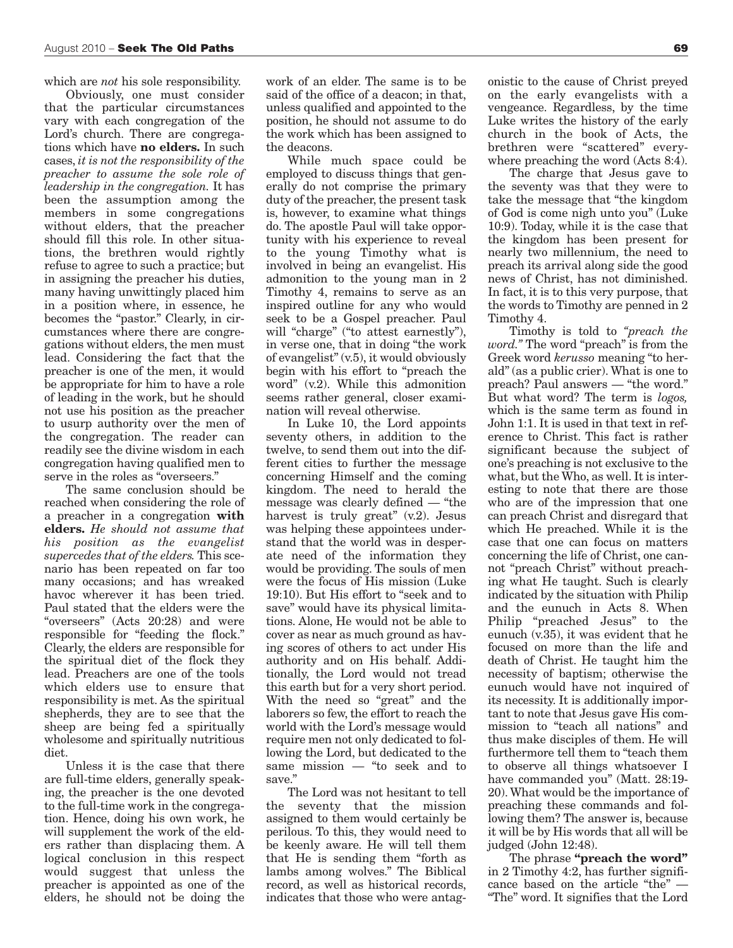which are *not* his sole responsibility.

Obviously, one must consider that the particular circumstances vary with each congregation of the Lord's church. There are congregations which have **no elders.** In such cases, *it is not the responsibility of the preacher to assume the sole role of leadership in the congregation.* It has been the assumption among the members in some congregations without elders, that the preacher should fill this role. In other situations, the brethren would rightly refuse to agree to such a practice; but in assigning the preacher his duties, many having unwittingly placed him in a position where, in essence, he becomes the "pastor." Clearly, in circumstances where there are congregations without elders, the men must lead. Considering the fact that the preacher is one of the men, it would be appropriate for him to have a role of leading in the work, but he should not use his position as the preacher to usurp authority over the men of the congregation. The reader can readily see the divine wisdom in each congregation having qualified men to serve in the roles as "overseers."

The same conclusion should be reached when considering the role of a preacher in a congregation **with elders.** *He should not assume that his position as the evangelist supercedes that of the elders.* This scenario has been repeated on far too many occasions; and has wreaked havoc wherever it has been tried. Paul stated that the elders were the "overseers" (Acts 20:28) and were responsible for "feeding the flock." Clearly, the elders are responsible for the spiritual diet of the flock they lead. Preachers are one of the tools which elders use to ensure that responsibility is met. As the spiritual shepherds, they are to see that the sheep are being fed a spiritually wholesome and spiritually nutritious diet.

Unless it is the case that there are full-time elders, generally speaking, the preacher is the one devoted to the full-time work in the congregation. Hence, doing his own work, he will supplement the work of the elders rather than displacing them. A logical conclusion in this respect would suggest that unless the preacher is appointed as one of the elders, he should not be doing the work of an elder. The same is to be said of the office of a deacon; in that, unless qualified and appointed to the position, he should not assume to do the work which has been assigned to the deacons.

While much space could be employed to discuss things that generally do not comprise the primary duty of the preacher, the present task is, however, to examine what things do. The apostle Paul will take opportunity with his experience to reveal to the young Timothy what is involved in being an evangelist. His admonition to the young man in 2 Timothy 4, remains to serve as an inspired outline for any who would seek to be a Gospel preacher. Paul will "charge" ("to attest earnestly"). in verse one, that in doing "the work of evangelist" (v.5), it would obviously begin with his effort to "preach the word" (v.2). While this admonition seems rather general, closer examination will reveal otherwise.

In Luke 10, the Lord appoints seventy others, in addition to the twelve, to send them out into the different cities to further the message concerning Himself and the coming kingdom. The need to herald the message was clearly defined — "the harvest is truly great" (v.2). Jesus was helping these appointees understand that the world was in desperate need of the information they would be providing. The souls of men were the focus of His mission (Luke 19:10). But His effort to "seek and to save" would have its physical limitations. Alone, He would not be able to cover as near as much ground as having scores of others to act under His authority and on His behalf. Additionally, the Lord would not tread this earth but for a very short period. With the need so "great" and the laborers so few, the effort to reach the world with the Lord's message would require men not only dedicated to following the Lord, but dedicated to the same mission — "to seek and to save."

The Lord was not hesitant to tell the seventy that the mission assigned to them would certainly be perilous. To this, they would need to be keenly aware. He will tell them that He is sending them "forth as lambs among wolves." The Biblical record, as well as historical records, indicates that those who were antag-

onistic to the cause of Christ preyed on the early evangelists with a vengeance. Regardless, by the time Luke writes the history of the early church in the book of Acts, the brethren were "scattered" everywhere preaching the word (Acts 8:4).

The charge that Jesus gave to the seventy was that they were to take the message that "the kingdom of God is come nigh unto you" (Luke 10:9). Today, while it is the case that the kingdom has been present for nearly two millennium, the need to preach its arrival along side the good news of Christ, has not diminished. In fact, it is to this very purpose, that the words to Timothy are penned in 2 Timothy 4.

Timothy is told to *"preach the word."* The word "preach" is from the Greek word *kerusso* meaning "to herald" (as a public crier). What is one to preach? Paul answers — "the word." But what word? The term is *logos,* which is the same term as found in John 1:1. It is used in that text in reference to Christ. This fact is rather significant because the subject of one's preaching is not exclusive to the what, but the Who, as well. It is interesting to note that there are those who are of the impression that one can preach Christ and disregard that which He preached. While it is the case that one can focus on matters concerning the life of Christ, one cannot "preach Christ" without preaching what He taught. Such is clearly indicated by the situation with Philip and the eunuch in Acts 8. When Philip "preached Jesus" to the eunuch (v.35), it was evident that he focused on more than the life and death of Christ. He taught him the necessity of baptism; otherwise the eunuch would have not inquired of its necessity. It is additionally important to note that Jesus gave His commission to "teach all nations" and thus make disciples of them. He will furthermore tell them to "teach them to observe all things whatsoever I have commanded you" (Matt. 28:19- 20).What would be the importance of preaching these commands and following them? The answer is, because it will be by His words that all will be judged (John 12:48).

The phrase **"preach the word"** in 2 Timothy 4:2, has further significance based on the article "the" — "The" word. It signifies that the Lord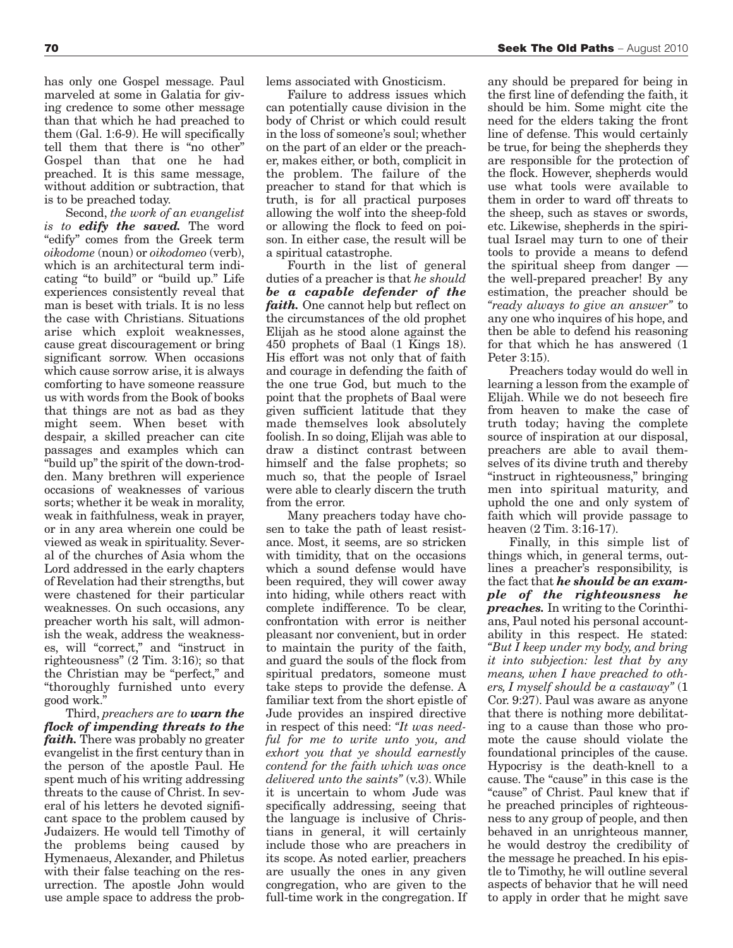has only one Gospel message. Paul marveled at some in Galatia for giving credence to some other message than that which he had preached to them (Gal. 1:6-9). He will specifically tell them that there is "no other" Gospel than that one he had preached. It is this same message, without addition or subtraction, that is to be preached today.

Second, *the work of an evangelist is to edify the saved.* The word "edify" comes from the Greek term *oikodome* (noun) or *oikodomeo* (verb), which is an architectural term indicating "to build" or "build up." Life experiences consistently reveal that man is beset with trials. It is no less the case with Christians. Situations arise which exploit weaknesses, cause great discouragement or bring significant sorrow. When occasions which cause sorrow arise, it is always comforting to have someone reassure us with words from the Book of books that things are not as bad as they might seem. When beset with despair, a skilled preacher can cite passages and examples which can "build up"the spirit of the down-trodden. Many brethren will experience occasions of weaknesses of various sorts; whether it be weak in morality, weak in faithfulness, weak in prayer, or in any area wherein one could be viewed as weak in spirituality. Several of the churches of Asia whom the Lord addressed in the early chapters of Revelation had their strengths, but were chastened for their particular weaknesses. On such occasions, any preacher worth his salt, will admonish the weak, address the weaknesses, will "correct," and "instruct in righteousness" (2 Tim. 3:16); so that the Christian may be "perfect," and "thoroughly furnished unto every good work."

Third, *preachers are to warn the flock of impending threats to the faith*. There was probably no greater evangelist in the first century than in the person of the apostle Paul. He spent much of his writing addressing threats to the cause of Christ. In several of his letters he devoted significant space to the problem caused by Judaizers. He would tell Timothy of the problems being caused by Hymenaeus, Alexander, and Philetus with their false teaching on the resurrection. The apostle John would use ample space to address the problems associated with Gnosticism.

Failure to address issues which can potentially cause division in the body of Christ or which could result in the loss of someone's soul; whether on the part of an elder or the preacher, makes either, or both, complicit in the problem. The failure of the preacher to stand for that which is truth, is for all practical purposes allowing the wolf into the sheep-fold or allowing the flock to feed on poison. In either case, the result will be a spiritual catastrophe.

Fourth in the list of general duties of a preacher is that *he should be a capable defender of the faith.* One cannot help but reflect on the circumstances of the old prophet Elijah as he stood alone against the 450 prophets of Baal (1 Kings 18). His effort was not only that of faith and courage in defending the faith of the one true God, but much to the point that the prophets of Baal were given sufficient latitude that they made themselves look absolutely foolish. In so doing, Elijah was able to draw a distinct contrast between himself and the false prophets; so much so, that the people of Israel were able to clearly discern the truth from the error.

Many preachers today have chosen to take the path of least resistance. Most, it seems, are so stricken with timidity, that on the occasions which a sound defense would have been required, they will cower away into hiding, while others react with complete indifference. To be clear, confrontation with error is neither pleasant nor convenient, but in order to maintain the purity of the faith, and guard the souls of the flock from spiritual predators, someone must take steps to provide the defense. A familiar text from the short epistle of Jude provides an inspired directive in respect of this need: *"It was needful for me to write unto you, and exhort you that ye should earnestly contend for the faith which was once delivered unto the saints"* (v.3). While it is uncertain to whom Jude was specifically addressing, seeing that the language is inclusive of Christians in general, it will certainly include those who are preachers in its scope. As noted earlier, preachers are usually the ones in any given congregation, who are given to the full-time work in the congregation. If

any should be prepared for being in the first line of defending the faith, it should be him. Some might cite the need for the elders taking the front line of defense. This would certainly be true, for being the shepherds they are responsible for the protection of the flock. However, shepherds would use what tools were available to them in order to ward off threats to the sheep, such as staves or swords, etc. Likewise, shepherds in the spiritual Israel may turn to one of their tools to provide a means to defend the spiritual sheep from danger the well-prepared preacher! By any estimation, the preacher should be *"ready always to give an answer"* to any one who inquires of his hope, and then be able to defend his reasoning for that which he has answered (1 Peter 3:15).

Preachers today would do well in learning a lesson from the example of Elijah. While we do not beseech fire from heaven to make the case of truth today; having the complete source of inspiration at our disposal, preachers are able to avail themselves of its divine truth and thereby "instruct in righteousness," bringing men into spiritual maturity, and uphold the one and only system of faith which will provide passage to heaven (2 Tim. 3:16-17).

Finally, in this simple list of things which, in general terms, outlines a preacher's responsibility, is the fact that *he should be an example of the righteousness he preaches.* In writing to the Corinthians, Paul noted his personal accountability in this respect. He stated: *"But I keep under my body, and bring it into subjection: lest that by any means, when I have preached to others, I myself should be a castaway"* (1 Cor. 9:27). Paul was aware as anyone that there is nothing more debilitating to a cause than those who promote the cause should violate the foundational principles of the cause. Hypocrisy is the death-knell to a cause. The "cause" in this case is the "cause" of Christ. Paul knew that if he preached principles of righteousness to any group of people, and then behaved in an unrighteous manner, he would destroy the credibility of the message he preached. In his epistle to Timothy, he will outline several aspects of behavior that he will need to apply in order that he might save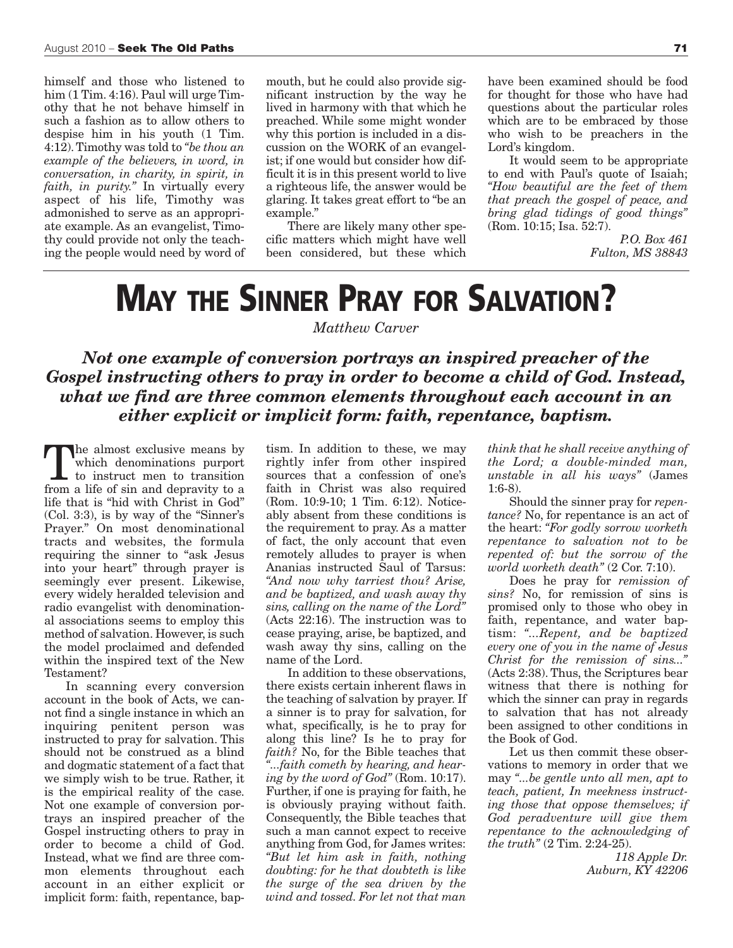himself and those who listened to him (1 Tim. 4:16). Paul will urge Timothy that he not behave himself in such a fashion as to allow others to despise him in his youth (1 Tim. 4:12).Timothy was told to *"be thou an example of the believers, in word, in conversation, in charity, in spirit, in faith, in purity."* In virtually every aspect of his life, Timothy was admonished to serve as an appropriate example. As an evangelist, Timothy could provide not only the teaching the people would need by word of mouth, but he could also provide significant instruction by the way he lived in harmony with that which he preached. While some might wonder why this portion is included in a discussion on the WORK of an evangelist; if one would but consider how difficult it is in this present world to live a righteous life, the answer would be glaring. It takes great effort to "be an example."

There are likely many other specific matters which might have well been considered, but these which

have been examined should be food for thought for those who have had questions about the particular roles which are to be embraced by those who wish to be preachers in the Lord's kingdom.

It would seem to be appropriate to end with Paul's quote of Isaiah; *"How beautiful are the feet of them that preach the gospel of peace, and bring glad tidings of good things"* (Rom. 10:15; Isa. 52:7).

> *P.O. Box 461 Fulton, MS 38843*

### **MAY THE SINNER PRAY FOR SALVATION?**

*Matthew Carver*

*Not one example of conversion portrays an inspired preacher of the Gospel instructing others to pray in order to become a child of God. Instead, what we find are three common elements throughout each account in an either explicit or implicit form: faith, repentance, baptism.*

The almost exclusive means by which denominations purport to instruct men to transition from a life of sin and depravity to a life that is "hid with Christ in God" (Col. 3:3), is by way of the "Sinner's Prayer." On most denominational tracts and websites, the formula requiring the sinner to "ask Jesus into your heart" through prayer is seemingly ever present. Likewise, every widely heralded television and radio evangelist with denominational associations seems to employ this method of salvation. However, is such the model proclaimed and defended within the inspired text of the New Testament?

In scanning every conversion account in the book of Acts, we cannot find a single instance in which an inquiring penitent person was instructed to pray for salvation. This should not be construed as a blind and dogmatic statement of a fact that we simply wish to be true. Rather, it is the empirical reality of the case. Not one example of conversion portrays an inspired preacher of the Gospel instructing others to pray in order to become a child of God. Instead, what we find are three common elements throughout each account in an either explicit or implicit form: faith, repentance, baptism. In addition to these, we may rightly infer from other inspired sources that a confession of one's faith in Christ was also required (Rom. 10:9-10; 1 Tim. 6:12). Noticeably absent from these conditions is the requirement to pray. As a matter of fact, the only account that even remotely alludes to prayer is when Ananias instructed Saul of Tarsus: *"And now why tarriest thou? Arise, and be baptized, and wash away thy sins, calling on the name of the Lord"* (Acts 22:16). The instruction was to cease praying, arise, be baptized, and wash away thy sins, calling on the name of the Lord.

In addition to these observations, there exists certain inherent flaws in the teaching of salvation by prayer. If a sinner is to pray for salvation, for what, specifically, is he to pray for along this line? Is he to pray for *faith?* No, for the Bible teaches that *"...faith cometh by hearing, and hearing by the word of God"* (Rom. 10:17). Further, if one is praying for faith, he is obviously praying without faith. Consequently, the Bible teaches that such a man cannot expect to receive anything from God, for James writes: *"But let him ask in faith, nothing doubting: for he that doubteth is like the surge of the sea driven by the wind and tossed. For let not that man*

*think that he shall receive anything of the Lord; a double-minded man, unstable in all his ways"* (James 1:6-8).

Should the sinner pray for *repentance?* No, for repentance is an act of the heart: *"For godly sorrow worketh repentance to salvation not to be repented of: but the sorrow of the world worketh death"* (2 Cor. 7:10).

Does he pray for *remission of sins?* No, for remission of sins is promised only to those who obey in faith, repentance, and water baptism: *"...Repent, and be baptized every one of you in the name of Jesus Christ for the remission of sins..."* (Acts 2:38). Thus, the Scriptures bear witness that there is nothing for which the sinner can pray in regards to salvation that has not already been assigned to other conditions in the Book of God.

Let us then commit these observations to memory in order that we may *"...be gentle unto all men, apt to teach, patient, In meekness instructing those that oppose themselves; if God peradventure will give them repentance to the acknowledging of the truth"* (2 Tim. 2:24-25).

> *118 Apple Dr. Auburn, KY 42206*